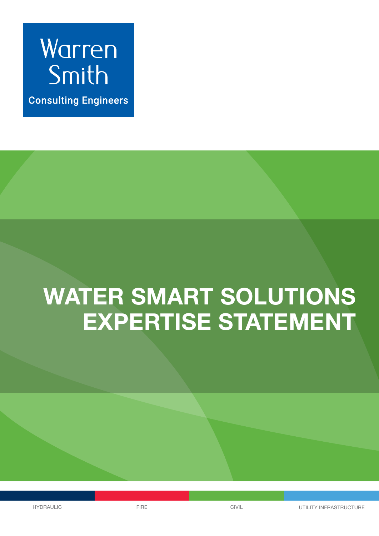

**Consulting Engineers** 

# **WATER SMART SOLUTIONS EXPERTISE STATEMENT**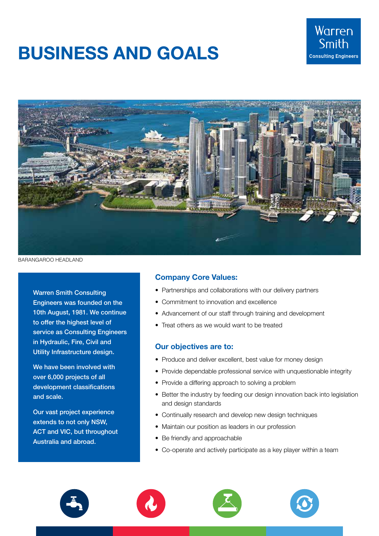# **BUSINESS AND GOALS**





BARANGAROO HEADLAND

Warren Smith Consulting Engineers was founded on the 10th August, 1981. We continue to offer the highest level of service as Consulting Engineers in Hydraulic, Fire, Civil and Utility Infrastructure design.

We have been involved with over 6,000 projects of all development classifications and scale.

Our vast project experience extends to not only NSW, ACT and VIC, but throughout Australia and abroad.

### **Company Core Values:**

- Partnerships and collaborations with our delivery partners
- Commitment to innovation and excellence
- Advancement of our staff through training and development
- Treat others as we would want to be treated

#### **Our objectives are to:**

- Produce and deliver excellent, best value for money design
- Provide dependable professional service with unquestionable integrity
- Provide a differing approach to solving a problem
- Better the industry by feeding our design innovation back into legislation and design standards
- Continually research and develop new design techniques
- Maintain our position as leaders in our profession
- Be friendly and approachable
- Co-operate and actively participate as a key player within a team







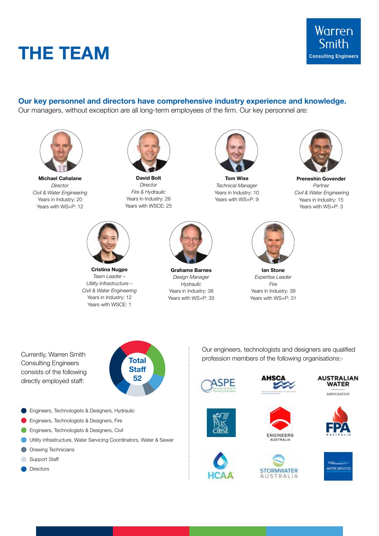



#### **Our key personnel and directors have comprehensive industry experience and knowledge.**

Our managers, without exception are all long-term employees of the firm. Our key personnel are:



**Michael Cahalane** *Director Civil & Water Engineering* Years in Industry: 20 Years with WS+P: 12



**David Bolt** *Director Fire & Hydraulic* Years in Industry: 26 Years with WSCE: 25



**Tom Wise** *Technical Manager* Years in Industry: 10 Years with WS+P: 9



**Preneshin Govender** *Partner Civil & Water Engineering* Years in Industry: 15 Years with WS+P: 3



**Cristina Nugpo** *Team Leader – Utility Infrastructure – Civil & Water Engineering* Years in Industry: 12 Years with WSCE: 1



**Grahame Barnes** *Design Manager Hydraulic* Years in Industry: 38 Years with WS+P: 33



**Ian Stone** *Expertise Leader Fire* Years in Industry: 39 Years with WS+P: 31

Consulting Engineers consists of the following directly employed staff:



**Engineers, Technologists & Designers, Hydraulic** 

- **Engineers, Technologists & Designers, Fire**
- **C** Engineers, Technologists & Designers, Civil
- Utility infrastructure, Water Servicing Coordinators, Water & Sewer
- **Drawing Technicians**
- Support Staff
- **O** Directors

Our engineers, technologists and designers are qualified Profession members of the following organisations:







ASSOCIATION









 $\vdots$ 



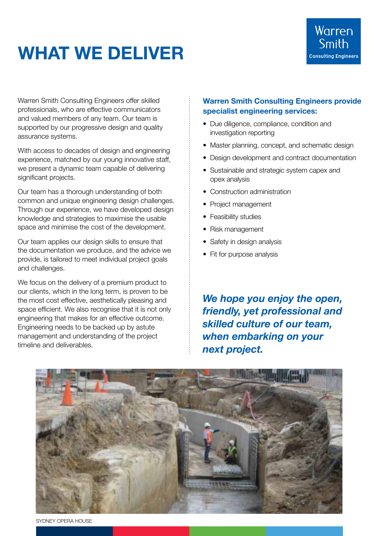# **WHAT WE DELIVER**

Warren Smith Consulting Engineers offer skilled professionals, who are effective communicators and valued members of any team. Our team is supported by our progressive design and quality assurance systems.

With access to decades of design and engineering experience, matched by our young innovative staff, we present a dynamic team capable of delivering significant projects.

Our team has a thorough understanding of both common and unique engineering design challenges. Through our experience, we have developed design knowledge and strategies to maximise the usable space and minimise the cost of the development.

Our team applies our design skills to ensure that the documentation we produce, and the advice we provide, is tailored to meet individual project goals and challenges.

We focus on the delivery of a premium product to our clients, which in the long term, is proven to be the most cost effective, aesthetically pleasing and space efficient. We also recognise that it is not only engineering that makes for an effective outcome. Engineering needs to be backed up by astute management and understanding of the project timeline and deliverables.

### **Warren Smith Consulting Engineers provide specialist engineering services:**

- Due diligence, compliance, condition and investigation reporting
- Master planning, concept, and schematic design
- Design development and contract documentation
- Sustainable and strategic system capex and opex analysis
- Construction administration
- Project management
- Feasibility studies
- Risk management
- Safety in design analysis
- Fit for purpose analysis

*We hope you enjoy the open, friendly, yet professional and skilled culture of our team, when embarking on your next project.* 



SYDNEY OPERA HOUSE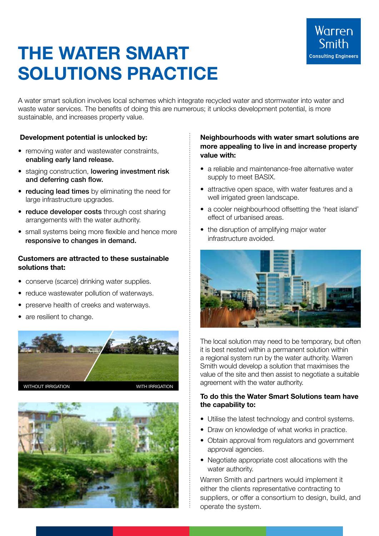# **THE WATER SMART SOLUTIONS PRACTICE**

A water smart solution involves local schemes which integrate recycled water and stormwater into water and waste water services. The benefits of doing this are numerous; it unlocks development potential, is more sustainable, and increases property value.

## **Development potential is unlocked by:**

- removing water and wastewater constraints, enabling early land release.
- staging construction, lowering investment risk and deferring cash flow.
- reducing lead times by eliminating the need for large infrastructure upgrades.
- reduce developer costs through cost sharing arrangements with the water authority.
- small systems being more flexible and hence more responsive to changes in demand.

### **Customers are attracted to these sustainable solutions that:**

- conserve (scarce) drinking water supplies.
- reduce wastewater pollution of waterways.
- preserve health of creeks and waterways.
- are resilient to change.





### **Neighbourhoods with water smart solutions are more appealing to live in and increase property value with:**

- a reliable and maintenance-free alternative water supply to meet BASIX.
- attractive open space, with water features and a well irrigated green landscape.
- a cooler neighbourhood offsetting the 'heat island' effect of urbanised areas.
- the disruption of amplifying major water infrastructure avoided.



The local solution may need to be temporary, but often it is best nested within a permanent solution within a regional system run by the water authority. Warren Smith would develop a solution that maximises the value of the site and then assist to negotiate a suitable agreement with the water authority.

### **To do this the Water Smart Solutions team have the capability to:**

- Utilise the latest technology and control systems.
- Draw on knowledge of what works in practice.
- Obtain approval from regulators and government approval agencies.
- Negotiate appropriate cost allocations with the water authority.

Warren Smith and partners would implement it either the clients representative contracting to suppliers, or offer a consortium to design, build, and operate the system.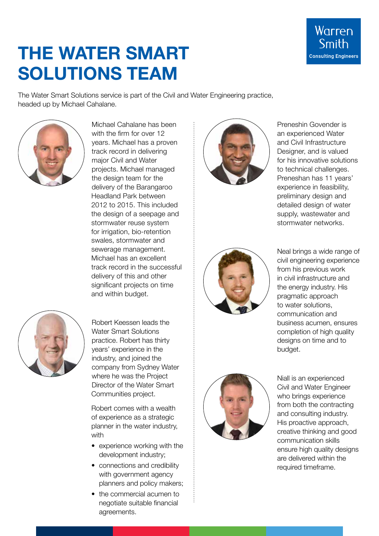

# **THE WATER SMART SOLUTIONS TEAM**

The Water Smart Solutions service is part of the Civil and Water Engineering practice, headed up by Michael Cahalane.



Michael Cahalane has been with the firm for over 12 years. Michael has a proven track record in delivering major Civil and Water projects. Michael managed the design team for the delivery of the Barangaroo Headland Park between 2012 to 2015. This included the design of a seepage and stormwater reuse system for irrigation, bio-retention swales, stormwater and sewerage management. Michael has an excellent track record in the successful delivery of this and other significant projects on time and within budget.



Robert Keessen leads the Water Smart Solutions practice. Robert has thirty years' experience in the industry, and joined the company from Sydney Water where he was the Project Director of the Water Smart Communities project.

Robert comes with a wealth of experience as a strategic planner in the water industry, with

- experience working with the development industry;
- connections and credibility with government agency planners and policy makers;
- the commercial acumen to negotiate suitable financial agreements.



Preneshin Govender is an experienced Water and Civil Infrastructure Designer, and is valued for his innovative solutions to technical challenges. Preneshan has 11 years' experience in feasibility, preliminary design and detailed design of water supply, wastewater and stormwater networks.



Neal brings a wide range of civil engineering experience from his previous work in civil infrastructure and the energy industry. His pragmatic approach to water solutions, communication and business acumen, ensures completion of high quality designs on time and to budget.



Niall is an experienced Civil and Water Engineer who brings experience from both the contracting and consulting industry. His proactive approach, creative thinking and good communication skills ensure high quality designs are delivered within the required timeframe.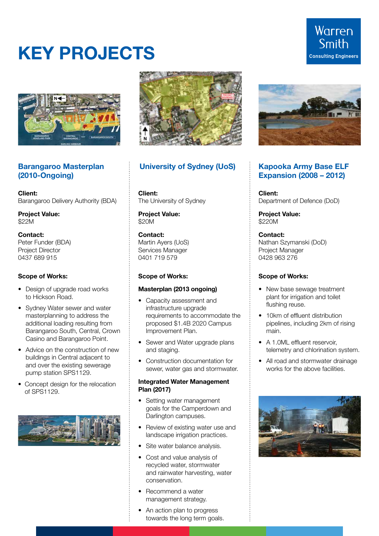# **KEY PROJECTS**



### **Barangaroo Masterplan (2010-Ongoing)**

**Client:**  Barangaroo Delivery Authority (BDA)

**Project Value:** \$22M

#### **Contact:**

Peter Funder (BDA) Project Director 0437 689 915

#### **Scope of Works:**

- Design of upgrade road works to Hickson Road.
- Sydney Water sewer and water masterplanning to address the additional loading resulting from Barangaroo South, Central, Crown Casino and Barangaroo Point.
- Advice on the construction of new buildings in Central adjacent to and over the existing sewerage pump station SPS1129.
- Concept design for the relocation of SPS1129.





## **University of Sydney (UoS) Kapooka Army Base ELF**

**Client:**  The University of Sydney

**Project Value:** \$20M

#### **Contact:**

Martin Ayers (UoS) Services Manager 0401 719 579

#### **Scope of Works:**

#### **Masterplan (2013 ongoing)**

- Capacity assessment and infrastructure upgrade requirements to accommodate the proposed \$1.4B 2020 Campus Improvement Plan.
- Sewer and Water upgrade plans and staging.
- Construction documentation for sewer, water gas and stormwater.

#### **Integrated Water Management Plan (2017)**

- Setting water management goals for the Camperdown and Darlington campuses.
- Review of existing water use and landscape irrigation practices.
- Site water balance analysis.
- Cost and value analysis of recycled water, stormwater and rainwater harvesting, water conservation.
- Recommend a water management strategy.
- An action plan to progress towards the long term goals.



# **Expansion (2008 – 2012)**

**Client:**  Department of Defence (DoD)

**Project Value:**  \$220M

**Contact:**  Nathan Szymanski (DoD) Project Manager 0428 963 276

#### **Scope of Works:**

- New base sewage treatment plant for irrigation and toilet flushing reuse.
- 10km of effluent distribution pipelines, including 2km of rising main.
- A 1.0ML effluent reservoir, telemetry and chlorination system.
- All road and stormwater drainage works for the above facilities.